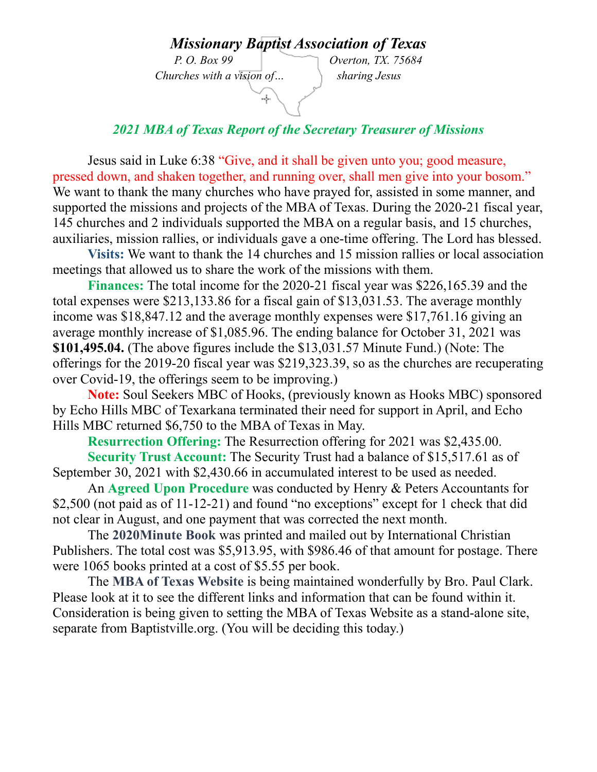## *Missionar[y Baptist Asso](http://www.enchantedlearning.com/usa/states/texas/outline/)ciation of Texas*

 *Churches with a vision of… sharing Jesus*

*P. O. Box 99 Overton, TX. 75684*

## *2021 MBA of Texas Report of the Secretary Treasurer of Missions*

u.

Jesus said in Luke 6:38 "Give, and it shall be given unto you; good measure, pressed down, and shaken together, and running over, shall men give into your bosom." We want to thank the many churches who have prayed for, assisted in some manner, and supported the missions and projects of the MBA of Texas. During the 2020-21 fiscal year, 145 churches and 2 individuals supported the MBA on a regular basis, and 15 churches, auxiliaries, mission rallies, or individuals gave a one-time offering. The Lord has blessed.

**Visits:** We want to thank the 14 churches and 15 mission rallies or local association meetings that allowed us to share the work of the missions with them.

**Finances:** The total income for the 2020-21 fiscal year was \$226,165.39 and the total expenses were \$213,133.86 for a fiscal gain of \$13,031.53. The average monthly income was \$18,847.12 and the average monthly expenses were \$17,761.16 giving an average monthly increase of \$1,085.96. The ending balance for October 31, 2021 was **\$101,495.04.** (The above figures include the \$13,031.57 Minute Fund.) (Note: The offerings for the 2019-20 fiscal year was \$219,323.39, so as the churches are recuperating over Covid-19, the offerings seem to be improving.)

**Note:** Soul Seekers MBC of Hooks, (previously known as Hooks MBC) sponsored by Echo Hills MBC of Texarkana terminated their need for support in April, and Echo Hills MBC returned \$6,750 to the MBA of Texas in May.

**Resurrection Offering:** The Resurrection offering for 2021 was \$2,435.00.

**Security Trust Account:** The Security Trust had a balance of \$15,517.61 as of September 30, 2021 with \$2,430.66 in accumulated interest to be used as needed.

An **Agreed Upon Procedure** was conducted by Henry & Peters Accountants for \$2,500 (not paid as of 11-12-21) and found "no exceptions" except for 1 check that did not clear in August, and one payment that was corrected the next month.

The **2020Minute Book** was printed and mailed out by International Christian Publishers. The total cost was \$5,913.95, with \$986.46 of that amount for postage. There were 1065 books printed at a cost of \$5.55 per book.

The **MBA of Texas Website** is being maintained wonderfully by Bro. Paul Clark. Please look at it to see the different links and information that can be found within it. Consideration is being given to setting the MBA of Texas Website as a stand-alone site, separate from Baptistville.org. (You will be deciding this today.)